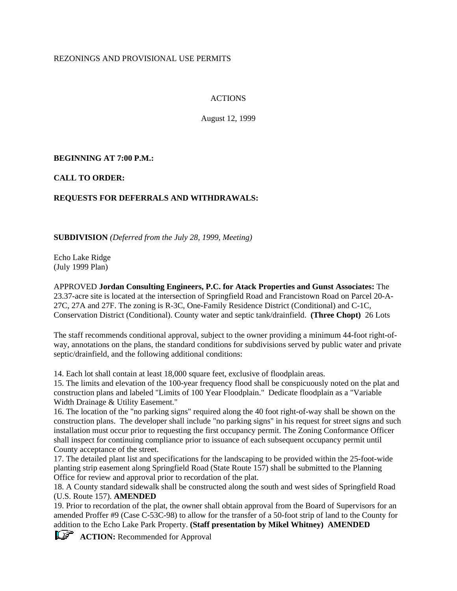## REZONINGS AND PROVISIONAL USE PERMITS

# ACTIONS

August 12, 1999

# **BEGINNING AT 7:00 P.M.:**

**CALL TO ORDER:**

# **REQUESTS FOR DEFERRALS AND WITHDRAWALS:**

**SUBDIVISION** *(Deferred from the July 28, 1999, Meeting)*

Echo Lake Ridge (July 1999 Plan)

APPROVED **Jordan Consulting Engineers, P.C. for Atack Properties and Gunst Associates:** The 23.37-acre site is located at the intersection of Springfield Road and Francistown Road on Parcel 20-A-27C, 27A and 27F. The zoning is R-3C, One-Family Residence District (Conditional) and C-1C, Conservation District (Conditional). County water and septic tank/drainfield. **(Three Chopt)** 26 Lots

The staff recommends conditional approval, subject to the owner providing a minimum 44-foot right-ofway, annotations on the plans, the standard conditions for subdivisions served by public water and private septic/drainfield, and the following additional conditions:

14. Each lot shall contain at least 18,000 square feet, exclusive of floodplain areas.

15. The limits and elevation of the 100-year frequency flood shall be conspicuously noted on the plat and construction plans and labeled "Limits of 100 Year Floodplain." Dedicate floodplain as a "Variable Width Drainage & Utility Easement."

16. The location of the "no parking signs" required along the 40 foot right-of-way shall be shown on the construction plans. The developer shall include "no parking signs" in his request for street signs and such installation must occur prior to requesting the first occupancy permit. The Zoning Conformance Officer shall inspect for continuing compliance prior to issuance of each subsequent occupancy permit until County acceptance of the street.

17. The detailed plant list and specifications for the landscaping to be provided within the 25-foot-wide planting strip easement along Springfield Road (State Route 157) shall be submitted to the Planning Office for review and approval prior to recordation of the plat.

18. A County standard sidewalk shall be constructed along the south and west sides of Springfield Road (U.S. Route 157). **AMENDED**

19. Prior to recordation of the plat, the owner shall obtain approval from the Board of Supervisors for an amended Proffer #9 (Case C-53C-98) to allow for the transfer of a 50-foot strip of land to the County for addition to the Echo Lake Park Property. **(Staff presentation by Mikel Whitney) AMENDED**

**ACTION:** Recommended for Approval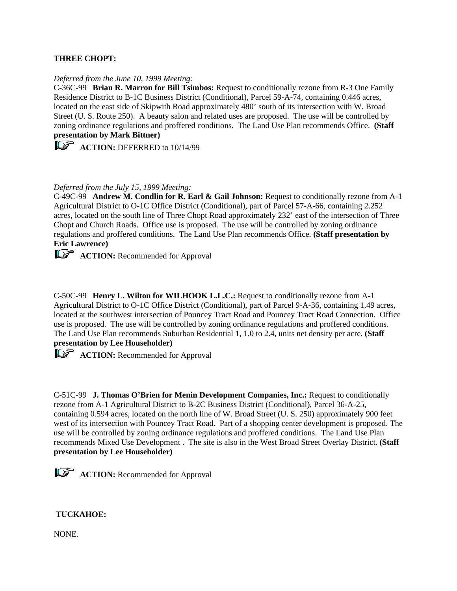### **THREE CHOPT:**

#### *Deferred from the June 10, 1999 Meeting:*

C-36C-99 **Brian R. Marron for Bill Tsimbos:** Request to conditionally rezone from R-3 One Family Residence District to B-1C Business District (Conditional), Parcel 59-A-74, containing 0.446 acres, located on the east side of Skipwith Road approximately 480' south of its intersection with W. Broad Street (U. S. Route 250). A beauty salon and related uses are proposed. The use will be controlled by zoning ordinance regulations and proffered conditions. The Land Use Plan recommends Office. **(Staff presentation by Mark Bittner)**

**ACTION:** DEFERRED to 10/14/99

#### *Deferred from the July 15, 1999 Meeting:*

C-49C-99 **Andrew M. Condlin for R. Earl & Gail Johnson:** Request to conditionally rezone from A-1 Agricultural District to O-1C Office District (Conditional), part of Parcel 57-A-66, containing 2.252 acres, located on the south line of Three Chopt Road approximately 232' east of the intersection of Three Chopt and Church Roads. Office use is proposed. The use will be controlled by zoning ordinance regulations and proffered conditions. The Land Use Plan recommends Office. **(Staff presentation by Eric Lawrence)**

**ACTION:** Recommended for Approval

C-50C-99 **Henry L. Wilton for WILHOOK L.L.C.:** Request to conditionally rezone from A-1 Agricultural District to O-1C Office District (Conditional), part of Parcel 9-A-36, containing 1.49 acres, located at the southwest intersection of Pouncey Tract Road and Pouncey Tract Road Connection. Office use is proposed. The use will be controlled by zoning ordinance regulations and proffered conditions. The Land Use Plan recommends Suburban Residential 1, 1.0 to 2.4, units net density per acre. **(Staff presentation by Lee Householder)**

**ACTION:** Recommended for Approval

C-51C-99 **J. Thomas O'Brien for Menin Development Companies, Inc.:** Request to conditionally rezone from A-1 Agricultural District to B-2C Business District (Conditional), Parcel 36-A-25, containing 0.594 acres, located on the north line of W. Broad Street (U. S. 250) approximately 900 feet west of its intersection with Pouncey Tract Road. Part of a shopping center development is proposed. The use will be controlled by zoning ordinance regulations and proffered conditions. The Land Use Plan recommends Mixed Use Development . The site is also in the West Broad Street Overlay District. **(Staff presentation by Lee Householder)**

**ACTION:** Recommended for Approval

### **TUCKAHOE:**

NONE.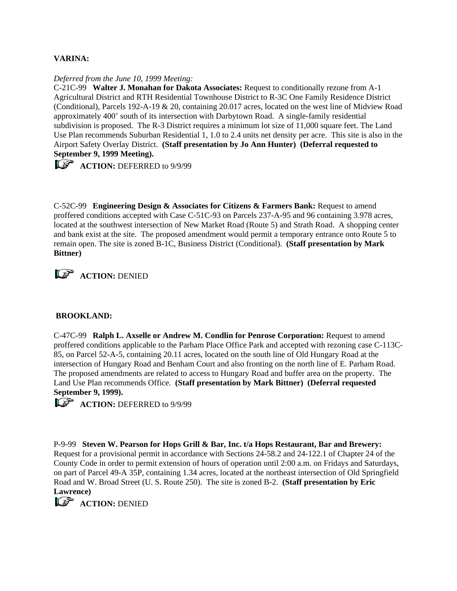# **VARINA:**

#### *Deferred from the June 10, 1999 Meeting:*

C-21C-99 **Walter J. Monahan for Dakota Associates:** Request to conditionally rezone from A-1 Agricultural District and RTH Residential Townhouse District to R-3C One Family Residence District (Conditional), Parcels 192-A-19 & 20, containing 20.017 acres, located on the west line of Midview Road approximately 400' south of its intersection with Darbytown Road. A single-family residential subdivision is proposed. The R-3 District requires a minimum lot size of 11,000 square feet. The Land Use Plan recommends Suburban Residential 1, 1.0 to 2.4 units net density per acre. This site is also in the Airport Safety Overlay District. **(Staff presentation by Jo Ann Hunter) (Deferral requested to September 9, 1999 Meeting).**

**ACTION:** DEFERRED to 9/9/99

C-52C-99 **Engineering Design & Associates for Citizens & Farmers Bank:** Request to amend proffered conditions accepted with Case C-51C-93 on Parcels 237-A-95 and 96 containing 3.978 acres, located at the southwest intersection of New Market Road (Route 5) and Strath Road. A shopping center and bank exist at the site. The proposed amendment would permit a temporary entrance onto Route 5 to remain open. The site is zoned B-1C, Business District (Conditional). **(Staff presentation by Mark Bittner)**



## **BROOKLAND:**

C-47C-99 **Ralph L. Axselle or Andrew M. Condlin for Penrose Corporation:** Request to amend proffered conditions applicable to the Parham Place Office Park and accepted with rezoning case C-113C-85, on Parcel 52-A-5, containing 20.11 acres, located on the south line of Old Hungary Road at the intersection of Hungary Road and Benham Court and also fronting on the north line of E. Parham Road. The proposed amendments are related to access to Hungary Road and buffer area on the property. The Land Use Plan recommends Office. **(Staff presentation by Mark Bittner) (Deferral requested September 9, 1999).**

**ACTION:** DEFERRED to 9/9/99

P-9-99 **Steven W. Pearson for Hops Grill & Bar, Inc. t/a Hops Restaurant, Bar and Brewery:** Request for a provisional permit in accordance with Sections 24-58.2 and 24-122.1 of Chapter 24 of the County Code in order to permit extension of hours of operation until 2:00 a.m. on Fridays and Saturdays, on part of Parcel 49-A 35P, containing 1.34 acres, located at the northeast intersection of Old Springfield Road and W. Broad Street (U. S. Route 250). The site is zoned B-2. **(Staff presentation by Eric Lawrence)**

**L<sub>S</sub>** ACTION: DENIED